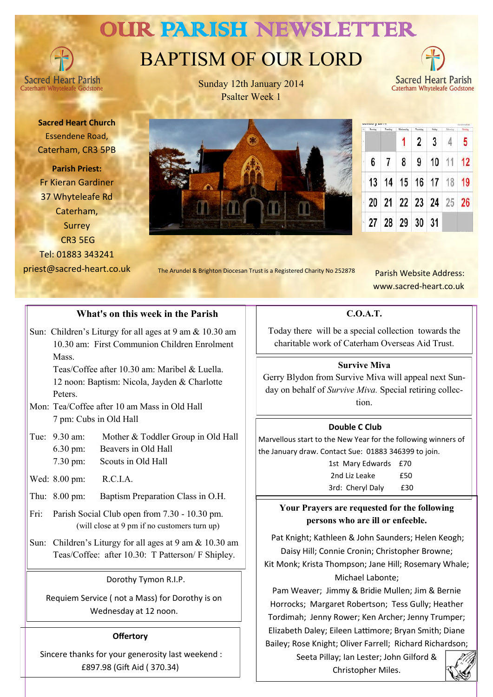# OUR PARISH NEWSLETTER

# BAPTISM OF OUR LORD



**Sacred Heart Parish Caterham Whyt** 

Sunday 12th January 2014 Psalter Week 1

Caterham Whyteleafe Godstone

**Sacred Heart Church** Essendene Road, Caterham, CR3 5PB

**Parish Priest:** Fr Kieran Gardiner 37 Whyteleafe Rd Caterham, Surrey CR3 5EG Tel: 01883 343241 priest@sacred-heart.co.uk



| Amitanti Lancia |         |           |             |          |        |          |               |  |
|-----------------|---------|-----------|-------------|----------|--------|----------|---------------|--|
| u,              | Marshey | Transitas | Wednesday   | Thursday | Priday | Atterior | <b>Sunday</b> |  |
| ı               |         |           |             | 2        | 3      |          | 5             |  |
|                 | 6       |           | 8           | 9        | 10     | 11       | 12            |  |
|                 | 13      |           | 14 15 16 17 |          |        | 18       | 19            |  |
|                 | 20      |           | 21 22 23 24 |          |        |          | 25 26         |  |
| ï               | 27      |           | 28 29       | 30       | 31     |          |               |  |

The Arundel & Brighton Diocesan Trust is a Registered Charity No 252878

 Parish Website Address: www.sacred-heart.co.uk

## **What's on this week in the Parish**

Sun: Children's Liturgy for all ages at 9 am & 10.30 am 10.30 am: First Communion Children Enrolment Mass.

Teas/Coffee after 10.30 am: Maribel & Luella. 12 noon: Baptism: Nicola, Jayden & Charlotte Peters.

- Mon: Tea/Coffee after 10 am Mass in Old Hall 7 pm: Cubs in Old Hall
- Tue: 9.30 am: Mother & Toddler Group in Old Hall 6.30 pm: Beavers in Old Hall 7.30 pm: Scouts in Old Hall
- Wed: 8.00 pm: R.C.I.A.
- Thu: 8.00 pm: Baptism Preparation Class in O.H.
- Fri: Parish Social Club open from 7.30 10.30 pm. (will close at 9 pm if no customers turn up)
- Sun: Children's Liturgy for all ages at 9 am & 10.30 am Teas/Coffee: after 10.30: T Patterson/ F Shipley.

#### Dorothy Tymon R.I.P.

Requiem Service ( not a Mass) for Dorothy is on Wednesday at 12 noon.

#### **Offertory**

Sincere thanks for your generosity last weekend : £897.98 (Gift Aid ( 370.34)

**C.O.A.T.**

Today there will be a special collection towards the charitable work of Caterham Overseas Aid Trust.

#### **Survive Miva**

Gerry Blydon from Survive Miva will appeal next Sunday on behalf of *Survive Miva.* Special retiring collection.

#### **Double C Club**

Marvellous start to the New Year for the following winners of the January draw. Contact Sue: 01883 346399 to join.

> 1st Mary Edwards £70 2nd Liz Leake **£50** 3rd: Cheryl Daly £30

## **Your Prayers are requested for the following persons who are ill or enfeeble.**

Pat Knight; Kathleen & John Saunders; Helen Keogh; Daisy Hill; Connie Cronin; Christopher Browne; Kit Monk; Krista Thompson; Jane Hill; Rosemary Whale; Michael Labonte;

Pam Weaver; Jimmy & Bridie Mullen; Jim & Bernie Horrocks; Margaret Robertson; Tess Gully; Heather Tordimah; Jenny Rower; Ken Archer; Jenny Trumper; Elizabeth Daley; Eileen Lattimore; Bryan Smith; Diane Bailey; Rose Knight; Oliver Farrell; Richard Richardson;

Seeta Pillay; Ian Lester; John Gilford & Christopher Miles.